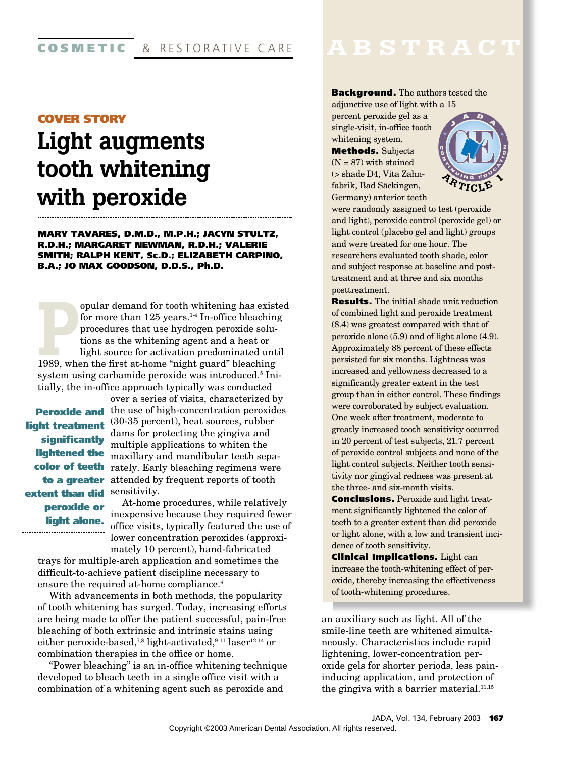# **COVER STORY**

# **Light augments tooth whitening with peroxide**

### **MARY TAVARES, D.M.D., M.P.H.; JACYN STULTZ, R.D.H.; MARGARET NEWMAN, R.D.H.; VALERIE SMITH; RALPH KENT, Sc.D.; ELIZABETH CARPINO, B.A.; JO MAX GOODSON, D.D.S., Ph.D.**

pular demand for tooth whitening has exis<br>for more than 125 years.<sup>14</sup> In-office bleachin<br>procedures that use hydrogen peroxide solu-<br>tions as the whitening agent and a heat or<br>light source for activation predominated uni<br> opular demand for tooth whitening has existed for more than  $125$  years.<sup>1-4</sup> In-office bleaching procedures that use hydrogen peroxide solutions as the whitening agent and a heat or light source for activation predominated until system using carbamide peroxide was introduced.<sup>5</sup> Initially, the in-office approach typically was conducted

**significantly lightened the extent than did** sensitivity. **peroxide or light alone.** ----------------------------------

over a series of visits, characterized by **Peroxide and** the use of high-concentration peroxides **light treatment** (30-35 percent), heat sources, rubber dams for protecting the gingiva and multiple applications to whiten the maxillary and mandibular teeth sepa**color of teeth** rately. Early bleaching regimens were **to a greater** attended by frequent reports of tooth

At-home procedures, while relatively inexpensive because they required fewer office visits, typically featured the use of lower concentration peroxides (approximately 10 percent), hand-fabricated

trays for multiple-arch application and sometimes the difficult-to-achieve patient discipline necessary to ensure the required at-home compliance.<sup>6</sup>

With advancements in both methods, the popularity of tooth whitening has surged. Today, increasing efforts are being made to offer the patient successful, pain-free bleaching of both extrinsic and intrinsic stains using either peroxide-based,<sup>7,8</sup> light-activated,<sup>9-11</sup> laser<sup>12-14</sup> or combination therapies in the office or home.

"Power bleaching" is an in-office whitening technique developed to bleach teeth in a single office visit with a combination of a whitening agent such as peroxide and

# **ABSTRACT**

## **Background.** The authors tested the

adjunctive use of light with a 15 percent peroxide gel as a single-visit, in-office tooth whitening system. **Methods.** Subjects  $(N = 87)$  with stained **C**

(> shade D4, Vita Zahnfabrik, Bad Säckingen, Germany) anterior teeth



were randomly assigned to test (peroxide and light), peroxide control (peroxide gel) or light control (placebo gel and light) groups and were treated for one hour. The researchers evaluated tooth shade, color and subject response at baseline and posttreatment and at three and six months posttreatment.

**Results.** The initial shade unit reduction of combined light and peroxide treatment (8.4) was greatest compared with that of peroxide alone (5.9) and of light alone (4.9). Approximately 88 percent of these effects persisted for six months. Lightness was increased and yellowness decreased to a significantly greater extent in the test group than in either control. These findings were corroborated by subject evaluation. One week after treatment, moderate to greatly increased tooth sensitivity occurred in 20 percent of test subjects, 21.7 percent of peroxide control subjects and none of the light control subjects. Neither tooth sensitivity nor gingival redness was present at the three- and six-month visits.

**Conclusions.** Peroxide and light treatment significantly lightened the color of teeth to a greater extent than did peroxide or light alone, with a low and transient incidence of tooth sensitivity.

**Clinical Implications.** Light can increase the tooth-whitening effect of peroxide, thereby increasing the effectiveness of tooth-whitening procedures.

an auxiliary such as light. All of the smile-line teeth are whitened simultaneously. Characteristics include rapid lightening, lower-concentration peroxide gels for shorter periods, less paininducing application, and protection of the gingiva with a barrier material. $11,15$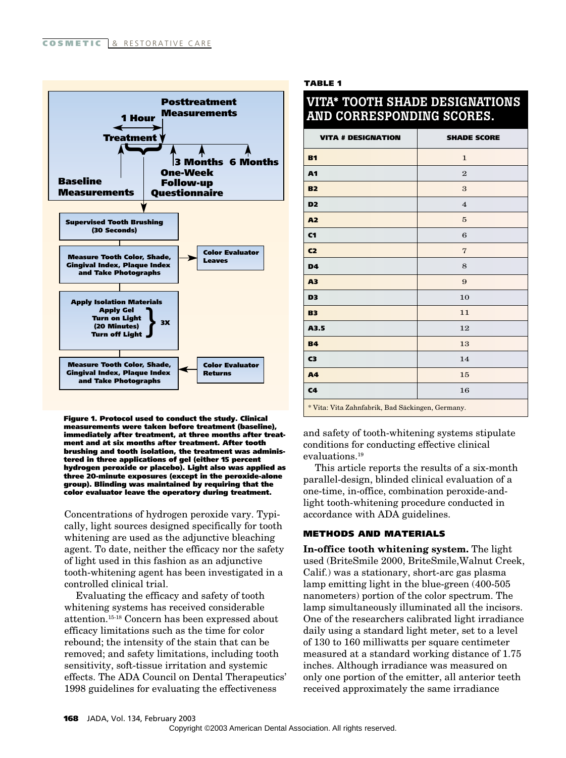

**Figure 1. Protocol used to conduct the study. Clinical measurements were taken before treatment (baseline), immediately after treatment, at three months after treatment and at six months after treatment. After tooth brushing and tooth isolation, the treatment was administered in three applications of gel (either 15 percent hydrogen peroxide or placebo). Light also was applied as three 20-minute exposures (except in the peroxide-alone group). Blinding was maintained by requiring that the color evaluator leave the operatory during treatment.**

Concentrations of hydrogen peroxide vary. Typically, light sources designed specifically for tooth whitening are used as the adjunctive bleaching agent. To date, neither the efficacy nor the safety of light used in this fashion as an adjunctive tooth-whitening agent has been investigated in a controlled clinical trial.

Evaluating the efficacy and safety of tooth whitening systems has received considerable attention.15-18 Concern has been expressed about efficacy limitations such as the time for color rebound; the intensity of the stain that can be removed; and safety limitations, including tooth sensitivity, soft-tissue irritation and systemic effects. The ADA Council on Dental Therapeutics' 1998 guidelines for evaluating the effectiveness

**TABLE 1**

## **VITA\* TOOTH SHADE DESIGNATIONS AND CORRESPONDING SCORES.**

| <b>VITA # DESIGNATION</b>                        | <b>SHADE SCORE</b>      |  |  |
|--------------------------------------------------|-------------------------|--|--|
| <b>B1</b>                                        | $\mathbf{1}$            |  |  |
| <b>A1</b>                                        | $\mathbf{2}$            |  |  |
| <b>B2</b>                                        | 3                       |  |  |
| D <sub>2</sub>                                   | $\overline{\mathbf{4}}$ |  |  |
| <b>A2</b>                                        | 5                       |  |  |
| C1                                               | 6                       |  |  |
| C <sub>2</sub>                                   | 7                       |  |  |
| D <sub>4</sub>                                   | 8                       |  |  |
| A <sub>3</sub>                                   | 9                       |  |  |
| D <sub>3</sub>                                   | 10                      |  |  |
| <b>B3</b>                                        | 11                      |  |  |
| A3.5                                             | 12                      |  |  |
| <b>B4</b>                                        | 13                      |  |  |
| C3                                               | 14                      |  |  |
| <b>A4</b>                                        | 15                      |  |  |
| C <sub>4</sub>                                   | 16                      |  |  |
| * Vita: Vita Zahnfabrik, Bad Säckingen, Germany. |                         |  |  |

and safety of tooth-whitening systems stipulate conditions for conducting effective clinical evaluations.<sup>19</sup>

This article reports the results of a six-month parallel-design, blinded clinical evaluation of a one-time, in-office, combination peroxide-andlight tooth-whitening procedure conducted in accordance with ADA guidelines.

## **METHODS AND MATERIALS**

**In-office tooth whitening system.** The light used (BriteSmile 2000, BriteSmile,Walnut Creek, Calif.) was a stationary, short-arc gas plasma lamp emitting light in the blue-green (400-505 nanometers) portion of the color spectrum. The lamp simultaneously illuminated all the incisors. One of the researchers calibrated light irradiance daily using a standard light meter, set to a level of 130 to 160 milliwatts per square centimeter measured at a standard working distance of 1.75 inches. Although irradiance was measured on only one portion of the emitter, all anterior teeth received approximately the same irradiance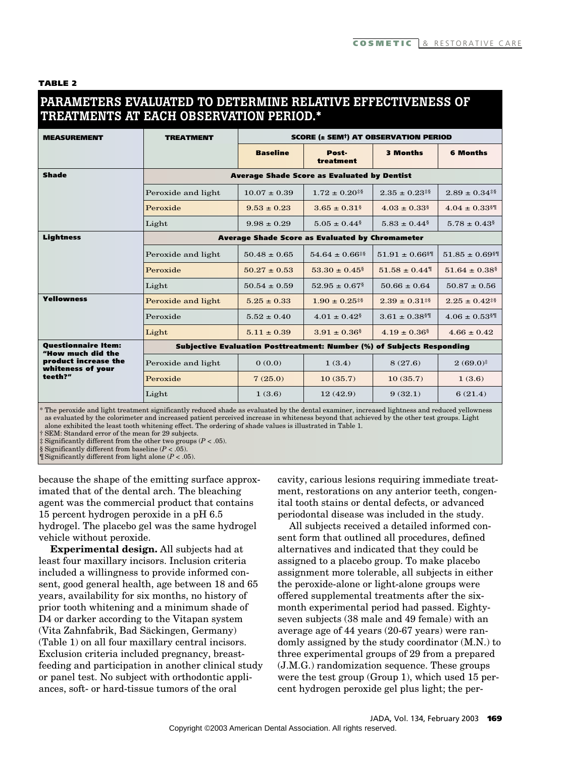#### **TABLE 2**

## **PARAMETERS EVALUATED TO DETERMINE RELATIVE EFFECTIVENESS OF TREATMENTS AT EACH OBSERVATION PERIOD.\***

| <b>MEASUREMENT</b>                                                                                      | TREATMENT                                                              | <b>SCORE (± SEM<sup>†</sup>) AT OBSERVATION PERIOD</b> |                                                        |                                 |                               |
|---------------------------------------------------------------------------------------------------------|------------------------------------------------------------------------|--------------------------------------------------------|--------------------------------------------------------|---------------------------------|-------------------------------|
|                                                                                                         |                                                                        | <b>Baseline</b>                                        | Post-<br>treatment                                     | <b>3 Months</b>                 | <b>6 Months</b>               |
| <b>Shade</b>                                                                                            |                                                                        |                                                        | <b>Average Shade Score as Evaluated by Dentist</b>     |                                 |                               |
|                                                                                                         | Peroxide and light                                                     | $10.07 \pm 0.39$                                       | $1.72 \pm 0.20^{*8}$                                   | $2.35 \pm 0.23^{*8}$            | $2.89 \pm 0.34^{*8}$          |
|                                                                                                         | Peroxide                                                               | $9.53 \pm 0.23$                                        | $3.65 \pm 0.31$                                        | $4.03 \pm 0.33$ <sup>§</sup>    | $4.04 \pm 0.33$ <sup>§</sup>  |
|                                                                                                         | Light                                                                  | $9.98 \pm 0.29$                                        | $5.05 \pm 0.44$ <sup>§</sup>                           | $5.83 \pm 0.44$                 | $5.78 \pm 0.43$               |
| Lightness                                                                                               |                                                                        |                                                        | <b>Average Shade Score as Evaluated by Chromameter</b> |                                 |                               |
|                                                                                                         | Peroxide and light                                                     | $50.48 \pm 0.65$                                       | $54.64 \pm 0.66^{\ddagger\%}$                          | $51.91 \pm 0.66$ §              | $51.85 \pm 0.69$ <sup>§</sup> |
|                                                                                                         | Peroxide                                                               | $50.27 \pm 0.53$                                       | $53.30 \pm 0.45$                                       | $51.58 \pm 0.44$ <sup>[1]</sup> | $51.64 \pm 0.38$ <sup>§</sup> |
|                                                                                                         | Light                                                                  | $50.54 \pm 0.59$                                       | $52.95 \pm 0.67$                                       | $50.66 \pm 0.64$                | $50.87 \pm 0.56$              |
| <b>Vellowness</b>                                                                                       | Peroxide and light                                                     | $5.25 \pm 0.33$                                        | $1.90 \pm 0.25$ <sup>‡§</sup>                          | $2.39 \pm 0.31^{48}$            | $2.25 \pm 0.42^{*8}$          |
|                                                                                                         | Peroxide                                                               | $5.52 \pm 0.40$                                        | $4.01 \pm 0.42$ <sup>§</sup>                           | $3.61 \pm 0.38$ §               | $4.06 \pm 0.53$ <sup>§</sup>  |
|                                                                                                         | Light                                                                  | $5.11 \pm 0.39$                                        | $3.91 \pm 0.36^{\$}$                                   | $4.19 \pm 0.36^{\circ}$         | $4.66 \pm 0.42$               |
| <b>Ouestionnaire Item:</b><br>"How much did the<br>product increase the<br>whiteness of your<br>teeth?" | Subjective Evaluation Posttreatment: Number (%) of Subjects Responding |                                                        |                                                        |                                 |                               |
|                                                                                                         | Peroxide and light                                                     | 0(0.0)                                                 | 1(3.4)                                                 | 8(27.6)                         | $2(69.0)^{\ddagger}$          |
|                                                                                                         | Peroxide                                                               | 7(25.0)                                                | 10(35.7)                                               | 10(35.7)                        | 1(3.6)                        |
|                                                                                                         | Light                                                                  | 1(3.6)                                                 | 12(42.9)                                               | 9(32.1)                         | 6(21.4)                       |

\* The peroxide and light treatment significantly reduced shade as evaluated by the dental examiner, increased lightness and reduced yellowness as evaluated by the colorimeter and increased patient perceived increase in whiteness beyond that achieved by the other test groups. Light alone exhibited the least tooth whitening effect. The ordering of shade values is illustrated in Table 1.

† SEM: Standard error of the mean for 29 subjects.

‡ Significantly different from the other two groups (*P* < .05).

 $\S$  Significantly different from baseline  $(P < .05)$ .

¶Significantly different from light alone (*P* < .05).

because the shape of the emitting surface approximated that of the dental arch. The bleaching agent was the commercial product that contains 15 percent hydrogen peroxide in a pH 6.5 hydrogel. The placebo gel was the same hydrogel vehicle without peroxide.

**Experimental design.** All subjects had at least four maxillary incisors. Inclusion criteria included a willingness to provide informed consent, good general health, age between 18 and 65 years, availability for six months, no history of prior tooth whitening and a minimum shade of D4 or darker according to the Vitapan system (Vita Zahnfabrik, Bad Säckingen, Germany) (Table 1) on all four maxillary central incisors. Exclusion criteria included pregnancy, breastfeeding and participation in another clinical study or panel test. No subject with orthodontic appliances, soft- or hard-tissue tumors of the oral

cavity, carious lesions requiring immediate treatment, restorations on any anterior teeth, congenital tooth stains or dental defects, or advanced periodontal disease was included in the study.

All subjects received a detailed informed consent form that outlined all procedures, defined alternatives and indicated that they could be assigned to a placebo group. To make placebo assignment more tolerable, all subjects in either the peroxide-alone or light-alone groups were offered supplemental treatments after the sixmonth experimental period had passed. Eightyseven subjects (38 male and 49 female) with an average age of 44 years (20-67 years) were randomly assigned by the study coordinator (M.N.) to three experimental groups of 29 from a prepared (J.M.G.) randomization sequence. These groups were the test group (Group 1), which used 15 percent hydrogen peroxide gel plus light; the per-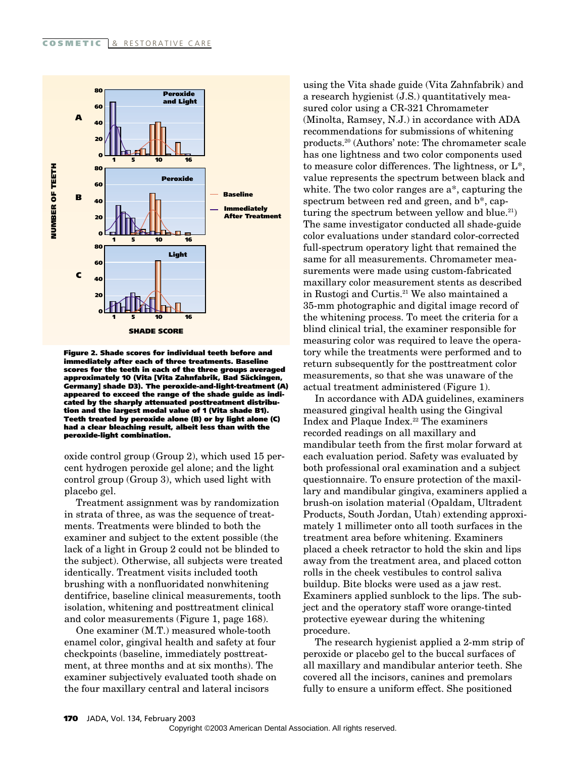

**Figure 2. Shade scores for individual teeth before and immediately after each of three treatments. Baseline scores for the teeth in each of the three groups averaged approximately 10 (Vita [Vita Zahnfabrik, Bad Säckingen, Germany] shade D3). The peroxide-and-light-treatment (A) appeared to exceed the range of the shade guide as indicated by the sharply attenuated posttreatment distribution and the largest modal value of 1 (Vita shade B1). Teeth treated by peroxide alone (B) or by light alone (C) had a clear bleaching result, albeit less than with the peroxide-light combination.**

oxide control group (Group 2), which used 15 percent hydrogen peroxide gel alone; and the light control group (Group 3), which used light with placebo gel.

Treatment assignment was by randomization in strata of three, as was the sequence of treatments. Treatments were blinded to both the examiner and subject to the extent possible (the lack of a light in Group 2 could not be blinded to the subject). Otherwise, all subjects were treated identically. Treatment visits included tooth brushing with a nonfluoridated nonwhitening dentifrice, baseline clinical measurements, tooth isolation, whitening and posttreatment clinical and color measurements (Figure 1, page 168).

One examiner (M.T.) measured whole-tooth enamel color, gingival health and safety at four checkpoints (baseline, immediately posttreatment, at three months and at six months). The examiner subjectively evaluated tooth shade on the four maxillary central and lateral incisors

using the Vita shade guide (Vita Zahnfabrik) and a research hygienist (J.S.) quantitatively measured color using a CR-321 Chromameter (Minolta, Ramsey, N.J.) in accordance with ADA recommendations for submissions of whitening products.20 (Authors' note: The chromameter scale has one lightness and two color components used to measure color differences. The lightness, or  $L^*$ , value represents the spectrum between black and white. The two color ranges are a\*, capturing the spectrum between red and green, and b\*, capturing the spectrum between yellow and blue. $21$ ) The same investigator conducted all shade-guide color evaluations under standard color-corrected full-spectrum operatory light that remained the same for all measurements. Chromameter measurements were made using custom-fabricated maxillary color measurement stents as described in Rustogi and Curtis.<sup>21</sup> We also maintained a 35-mm photographic and digital image record of the whitening process. To meet the criteria for a blind clinical trial, the examiner responsible for measuring color was required to leave the operatory while the treatments were performed and to return subsequently for the posttreatment color measurements, so that she was unaware of the actual treatment administered (Figure 1).

In accordance with ADA guidelines, examiners measured gingival health using the Gingival Index and Plaque Index.<sup>22</sup> The examiners recorded readings on all maxillary and mandibular teeth from the first molar forward at each evaluation period. Safety was evaluated by both professional oral examination and a subject questionnaire. To ensure protection of the maxillary and mandibular gingiva, examiners applied a brush-on isolation material (Opaldam, Ultradent Products, South Jordan, Utah) extending approximately 1 millimeter onto all tooth surfaces in the treatment area before whitening. Examiners placed a cheek retractor to hold the skin and lips away from the treatment area, and placed cotton rolls in the cheek vestibules to control saliva buildup. Bite blocks were used as a jaw rest. Examiners applied sunblock to the lips. The subject and the operatory staff wore orange-tinted protective eyewear during the whitening procedure.

The research hygienist applied a 2-mm strip of peroxide or placebo gel to the buccal surfaces of all maxillary and mandibular anterior teeth. She covered all the incisors, canines and premolars fully to ensure a uniform effect. She positioned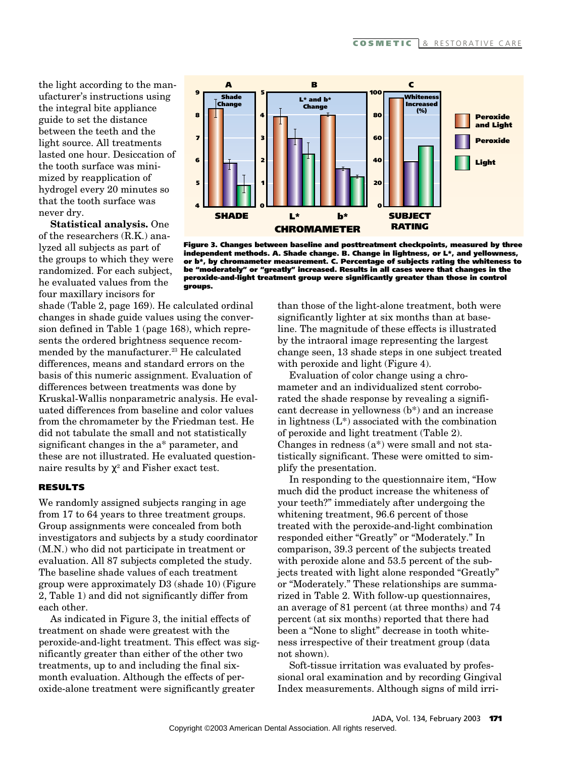the light according to the manufacturer's instructions using the integral bite appliance guide to set the distance between the teeth and the light source. All treatments lasted one hour. Desiccation of the tooth surface was minimized by reapplication of hydrogel every 20 minutes so that the tooth surface was never dry.

**Statistical analysis.** One of the researchers (R.K.) analyzed all subjects as part of the groups to which they were randomized. For each subject, he evaluated values from the four maxillary incisors for



**Figure 3. Changes between baseline and posttreatment checkpoints, measured by three independent methods. A. Shade change. B. Change in lightness, or L\*, and yellowness, or b\*, by chromameter measurement. C. Percentage of subjects rating the whiteness to be "moderately" or "greatly" increased. Results in all cases were that changes in the peroxide-and-light treatment group were significantly greater than those in control groups.**

shade (Table 2, page 169). He calculated ordinal changes in shade guide values using the conversion defined in Table 1 (page 168), which represents the ordered brightness sequence recommended by the manufacturer.<sup>23</sup> He calculated differences, means and standard errors on the basis of this numeric assignment. Evaluation of differences between treatments was done by Kruskal-Wallis nonparametric analysis. He evaluated differences from baseline and color values from the chromameter by the Friedman test. He did not tabulate the small and not statistically significant changes in the a\* parameter, and these are not illustrated. He evaluated questionnaire results by  $\chi^2$  and Fisher exact test.

## **RESULTS**

We randomly assigned subjects ranging in age from 17 to 64 years to three treatment groups. Group assignments were concealed from both investigators and subjects by a study coordinator (M.N.) who did not participate in treatment or evaluation. All 87 subjects completed the study. The baseline shade values of each treatment group were approximately D3 (shade 10) (Figure 2, Table 1) and did not significantly differ from each other.

As indicated in Figure 3, the initial effects of treatment on shade were greatest with the peroxide-and-light treatment. This effect was significantly greater than either of the other two treatments, up to and including the final sixmonth evaluation. Although the effects of peroxide-alone treatment were significantly greater

than those of the light-alone treatment, both were significantly lighter at six months than at baseline. The magnitude of these effects is illustrated by the intraoral image representing the largest change seen, 13 shade steps in one subject treated with peroxide and light (Figure 4).

Evaluation of color change using a chromameter and an individualized stent corroborated the shade response by revealing a significant decrease in yellowness (b\*) and an increase in lightness  $(L^*)$  associated with the combination of peroxide and light treatment (Table 2). Changes in redness (a\*) were small and not statistically significant. These were omitted to simplify the presentation.

In responding to the questionnaire item, "How much did the product increase the whiteness of your teeth?" immediately after undergoing the whitening treatment, 96.6 percent of those treated with the peroxide-and-light combination responded either "Greatly" or "Moderately." In comparison, 39.3 percent of the subjects treated with peroxide alone and 53.5 percent of the subjects treated with light alone responded "Greatly" or "Moderately." These relationships are summarized in Table 2. With follow-up questionnaires, an average of 81 percent (at three months) and 74 percent (at six months) reported that there had been a "None to slight" decrease in tooth whiteness irrespective of their treatment group (data not shown).

Soft-tissue irritation was evaluated by professional oral examination and by recording Gingival Index measurements. Although signs of mild irri-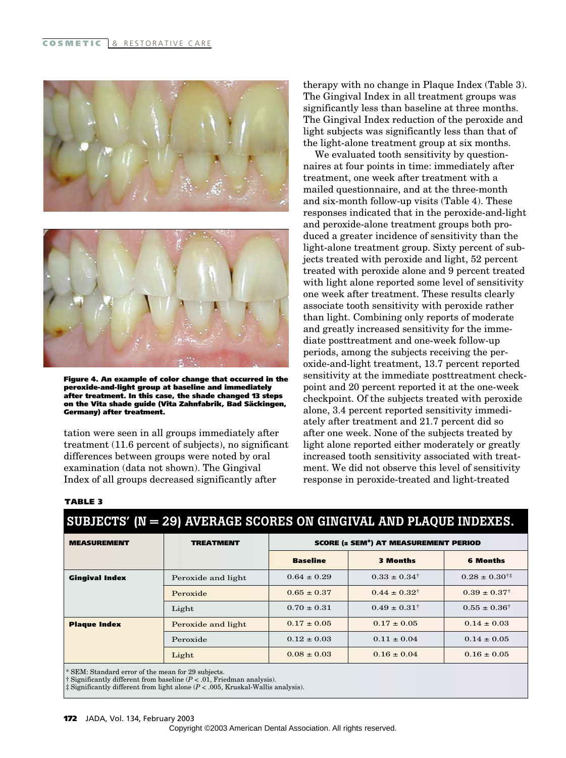



**Figure 4. An example of color change that occurred in the peroxide-and-light group at baseline and immediately after treatment. In this case, the shade changed 13 steps on the Vita shade guide (Vita Zahnfabrik, Bad Säckingen, Germany) after treatment.**

tation were seen in all groups immediately after treatment (11.6 percent of subjects), no significant differences between groups were noted by oral examination (data not shown). The Gingival Index of all groups decreased significantly after

therapy with no change in Plaque Index (Table 3). The Gingival Index in all treatment groups was significantly less than baseline at three months. The Gingival Index reduction of the peroxide and light subjects was significantly less than that of the light-alone treatment group at six months.

We evaluated tooth sensitivity by questionnaires at four points in time: immediately after treatment, one week after treatment with a mailed questionnaire, and at the three-month and six-month follow-up visits (Table 4). These responses indicated that in the peroxide-and-light and peroxide-alone treatment groups both produced a greater incidence of sensitivity than the light-alone treatment group. Sixty percent of subjects treated with peroxide and light, 52 percent treated with peroxide alone and 9 percent treated with light alone reported some level of sensitivity one week after treatment. These results clearly associate tooth sensitivity with peroxide rather than light. Combining only reports of moderate and greatly increased sensitivity for the immediate posttreatment and one-week follow-up periods, among the subjects receiving the peroxide-and-light treatment, 13.7 percent reported sensitivity at the immediate posttreatment checkpoint and 20 percent reported it at the one-week checkpoint. Of the subjects treated with peroxide alone, 3.4 percent reported sensitivity immediately after treatment and 21.7 percent did so after one week. None of the subjects treated by light alone reported either moderately or greatly increased tooth sensitivity associated with treatment. We did not observe this level of sensitivity response in peroxide-treated and light-treated

## **TABLE 3**

## **SUBJECTS' (N = 29) AVERAGE SCORES ON GINGIVAL AND PLAQUE INDEXES.**

| <b>MEASUREMENT</b>    | <b>TREATMENT</b>   | <b>SCORE (± SEM*) AT MEASUREMENT PERIOD</b> |                           |                               |  |
|-----------------------|--------------------|---------------------------------------------|---------------------------|-------------------------------|--|
|                       |                    | <b>Baseline</b>                             | <b>3 Months</b>           | <b>6 Months</b>               |  |
| <b>Gingival Index</b> | Peroxide and light | $0.64 \pm 0.29$                             | $0.33 \pm 0.34^{\dagger}$ | $0.28 \pm 0.30$ <sup>†‡</sup> |  |
|                       | Peroxide           | $0.65 \pm 0.37$                             | $0.44 \pm 0.32^{\dagger}$ | $0.39 \pm 0.37^{\dagger}$     |  |
|                       | Light              | $0.70 \pm 0.31$                             | $0.49 \pm 0.31^{\dagger}$ | $0.55 \pm 0.36^{\dagger}$     |  |
| <b>Plaque Index</b>   | Peroxide and light | $0.17 \pm 0.05$                             | $0.17 \pm 0.05$           | $0.14 \pm 0.03$               |  |
|                       | Peroxide           | $0.12 \pm 0.03$                             | $0.11 \pm 0.04$           | $0.14 \pm 0.05$               |  |
|                       | Light              | $0.08 \pm 0.03$                             | $0.16 \pm 0.04$           | $0.16 \pm 0.05$               |  |

\* SEM: Standard error of the mean for 29 subjects.

† Significantly different from baseline (*P* < .01, Friedman analysis).

‡ Significantly different from light alone (*P* < .005, Kruskal-Wallis analysis).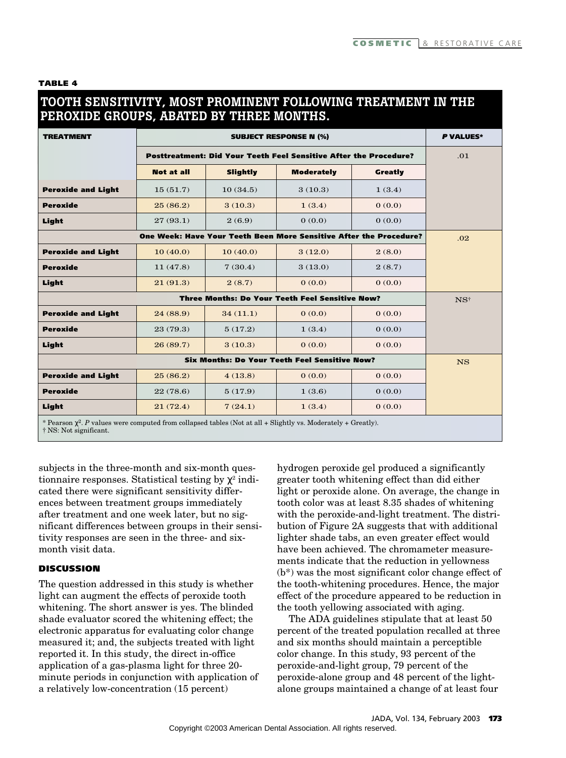### **TABLE 4**

## **TOOTH SENSITIVITY, MOST PROMINENT FOLLOWING TREATMENT IN THE PEROXIDE GROUPS, ABATED BY THREE MONTHS.**

| <b>TREATMENT</b>                                                                                                      | <b>SUBJECT RESPONSE N (%)</b>                                            |                 |                                                 |                | P VALUES*      |  |
|-----------------------------------------------------------------------------------------------------------------------|--------------------------------------------------------------------------|-----------------|-------------------------------------------------|----------------|----------------|--|
|                                                                                                                       | <b>Posttreatment: Did Your Teeth Feel Sensitive After the Procedure?</b> |                 |                                                 |                | .01            |  |
|                                                                                                                       | <b>Not at all</b>                                                        | <b>Slightly</b> | <b>Moderately</b>                               | <b>Greatly</b> |                |  |
| <b>Peroxide and Light</b>                                                                                             | 15(51.7)                                                                 | 10(34.5)        | 3(10.3)                                         | 1(3.4)         |                |  |
| <b>Peroxide</b>                                                                                                       | 25(86.2)                                                                 | 3(10.3)         | 1(3.4)                                          | 0(0.0)         |                |  |
| Light                                                                                                                 | 27(93.1)                                                                 | 2(6.9)          | 0(0.0)                                          | 0(0.0)         |                |  |
| One Week: Have Your Teeth Been More Sensitive After the Procedure?                                                    |                                                                          |                 |                                                 | .02            |                |  |
| <b>Peroxide and Light</b>                                                                                             | 10(40.0)                                                                 | 10(40.0)        | 3(12.0)                                         | 2(8.0)         |                |  |
| <b>Peroxide</b>                                                                                                       | 11(47.8)                                                                 | 7(30.4)         | 3(13.0)                                         | 2(8.7)         |                |  |
| Light                                                                                                                 | 21(91.3)                                                                 | 2(8.7)          | 0(0.0)                                          | 0(0.0)         |                |  |
|                                                                                                                       |                                                                          |                 | Three Months: Do Your Teeth Feel Sensitive Now? |                | $NS^{\dagger}$ |  |
| <b>Peroxide and Light</b>                                                                                             | 24(88.9)                                                                 | 34(11.1)        | 0(0.0)                                          | 0(0.0)         |                |  |
| <b>Peroxide</b>                                                                                                       | 23 (79.3)                                                                | 5(17.2)         | 1(3.4)                                          | 0(0.0)         |                |  |
| Light                                                                                                                 | 26(89.7)                                                                 | 3(10.3)         | 0(0.0)                                          | 0(0.0)         |                |  |
| <b>Six Months: Do Your Teeth Feel Sensitive Now?</b>                                                                  |                                                                          |                 |                                                 | <b>NS</b>      |                |  |
| <b>Peroxide and Light</b>                                                                                             | 25(86.2)                                                                 | 4(13.8)         | 0(0.0)                                          | 0(0.0)         |                |  |
| <b>Peroxide</b>                                                                                                       | 22(78.6)                                                                 | 5(17.9)         | 1(3.6)                                          | 0(0.0)         |                |  |
| Light                                                                                                                 | 21(72.4)                                                                 | 7(24.1)         | 1(3.4)                                          | 0(0.0)         |                |  |
| * Pearson $\gamma^2$ . P values were computed from collapsed tables (Not at all + Slightly vs. Moderately + Greatly). |                                                                          |                 |                                                 |                |                |  |

† NS: Not significant.

subjects in the three-month and six-month questionnaire responses. Statistical testing by  $\gamma^2$  indicated there were significant sensitivity differences between treatment groups immediately after treatment and one week later, but no significant differences between groups in their sensitivity responses are seen in the three- and sixmonth visit data.

## **DISCUSSION**

The question addressed in this study is whether light can augment the effects of peroxide tooth whitening. The short answer is yes. The blinded shade evaluator scored the whitening effect; the electronic apparatus for evaluating color change measured it; and, the subjects treated with light reported it. In this study, the direct in-office application of a gas-plasma light for three 20 minute periods in conjunction with application of a relatively low-concentration (15 percent)

hydrogen peroxide gel produced a significantly greater tooth whitening effect than did either light or peroxide alone. On average, the change in tooth color was at least 8.35 shades of whitening with the peroxide-and-light treatment. The distribution of Figure 2A suggests that with additional lighter shade tabs, an even greater effect would have been achieved. The chromameter measurements indicate that the reduction in yellowness (b\*) was the most significant color change effect of the tooth-whitening procedures. Hence, the major effect of the procedure appeared to be reduction in the tooth yellowing associated with aging.

The ADA guidelines stipulate that at least 50 percent of the treated population recalled at three and six months should maintain a perceptible color change. In this study, 93 percent of the peroxide-and-light group, 79 percent of the peroxide-alone group and 48 percent of the lightalone groups maintained a change of at least four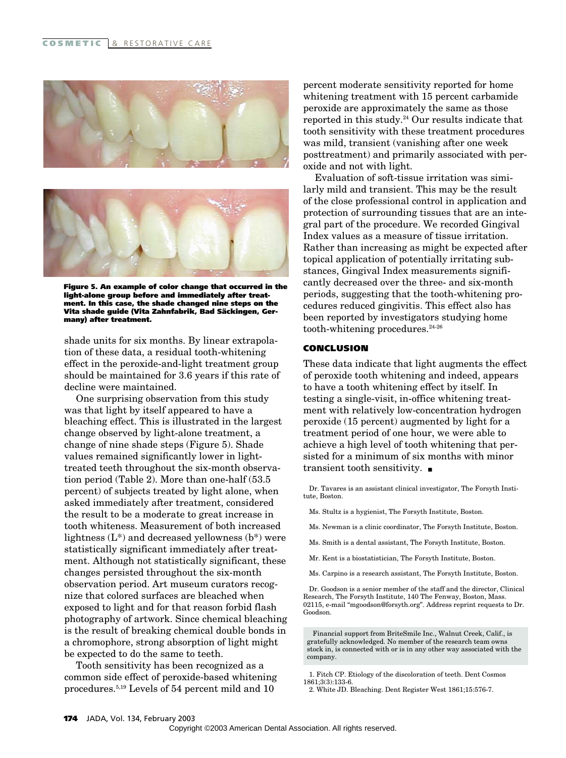



**Figure 5. An example of color change that occurred in the light-alone group before and immediately after treatment. In this case, the shade changed nine steps on the Vita shade guide (Vita Zahnfabrik, Bad Säckingen, Germany) after treatment.**

shade units for six months. By linear extrapolation of these data, a residual tooth-whitening effect in the peroxide-and-light treatment group should be maintained for 3.6 years if this rate of decline were maintained.

One surprising observation from this study was that light by itself appeared to have a bleaching effect. This is illustrated in the largest change observed by light-alone treatment, a change of nine shade steps (Figure 5). Shade values remained significantly lower in lighttreated teeth throughout the six-month observation period (Table 2). More than one-half (53.5 percent) of subjects treated by light alone, when asked immediately after treatment, considered the result to be a moderate to great increase in tooth whiteness. Measurement of both increased lightness  $(L^*)$  and decreased yellowness  $(b^*)$  were statistically significant immediately after treatment. Although not statistically significant, these changes persisted throughout the six-month observation period. Art museum curators recognize that colored surfaces are bleached when exposed to light and for that reason forbid flash photography of artwork. Since chemical bleaching is the result of breaking chemical double bonds in a chromophore, strong absorption of light might be expected to do the same to teeth.

Tooth sensitivity has been recognized as a common side effect of peroxide-based whitening procedures.5,19 Levels of 54 percent mild and 10

percent moderate sensitivity reported for home whitening treatment with 15 percent carbamide peroxide are approximately the same as those reported in this study.24 Our results indicate that tooth sensitivity with these treatment procedures was mild, transient (vanishing after one week posttreatment) and primarily associated with peroxide and not with light.

Evaluation of soft-tissue irritation was similarly mild and transient. This may be the result of the close professional control in application and protection of surrounding tissues that are an integral part of the procedure. We recorded Gingival Index values as a measure of tissue irritation. Rather than increasing as might be expected after topical application of potentially irritating substances, Gingival Index measurements significantly decreased over the three- and six-month periods, suggesting that the tooth-whitening procedures reduced gingivitis. This effect also has been reported by investigators studying home tooth-whitening procedures. $24-26$ 

### **CONCLUSION**

These data indicate that light augments the effect of peroxide tooth whitening and indeed, appears to have a tooth whitening effect by itself. In testing a single-visit, in-office whitening treatment with relatively low-concentration hydrogen peroxide (15 percent) augmented by light for a treatment period of one hour, we were able to achieve a high level of tooth whitening that persisted for a minimum of six months with minor transient tooth sensitivity. ■

Dr. Tavares is an assistant clinical investigator, The Forsyth Institute, Boston.

Ms. Stultz is a hygienist, The Forsyth Institute, Boston.

Ms. Newman is a clinic coordinator, The Forsyth Institute, Boston.

Ms. Smith is a dental assistant, The Forsyth Institute, Boston.

Mr. Kent is a biostatistician, The Forsyth Institute, Boston.

Ms. Carpino is a research assistant, The Forsyth Institute, Boston.

Dr. Goodson is a senior member of the staff and the director, Clinical Research, The Forsyth Institute, 140 The Fenway, Boston, Mass. 02115, e-mail "mgoodson@forsyth.org". Address reprint requests to Dr. Goodson.

Financial support from BriteSmile Inc., Walnut Creek, Calif., is gratefully acknowledged. No member of the research team owns stock in, is connected with or is in any other way associated with the company.

1. Fitch CP. Etiology of the discoloration of teeth. Dent Cosmos 1861;3(3):133-6.

2. White JD. Bleaching. Dent Register West 1861;15:576-7.